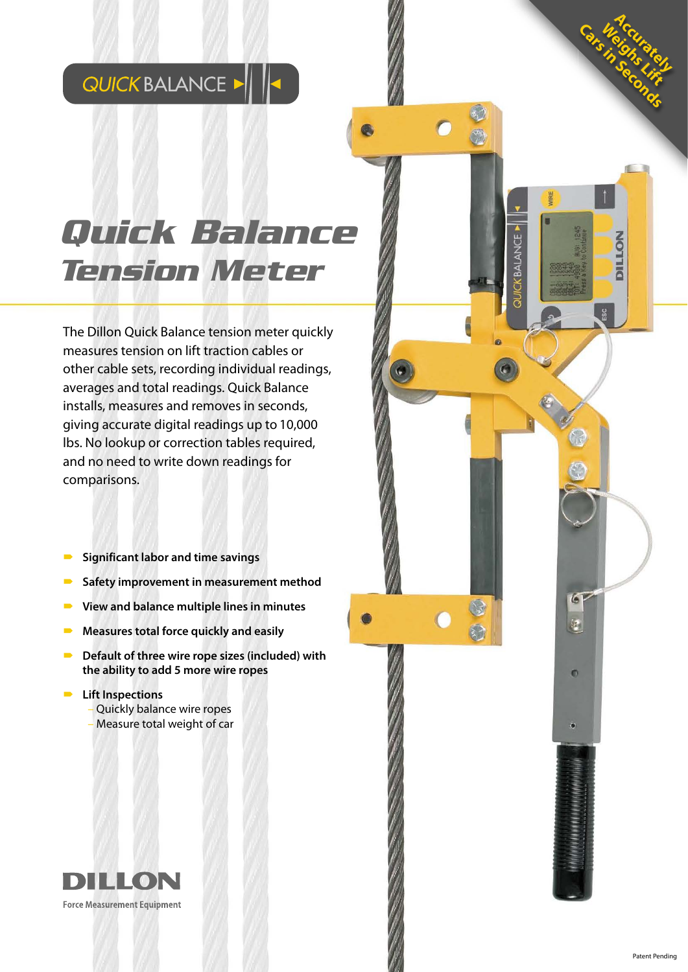## QUICK BALANCE > || ||<

# **Quick Balance Tension Meter**

The Dillon Quick Balance tension meter quickly measures tension on lift traction cables or other cable sets, recording individual readings, averages and total readings. Quick Balance installs, measures and removes in seconds, giving accurate digital readings up to 10,000 lbs. No lookup or correction tables required, and no need to write down readings for comparisons.

- **Significant labor and time savings**
- Safety improvement in measurement method
- **View and balance multiple lines in minutes**
- **Measures total force quickly and easily**
- Default of three wire rope sizes (included) with **the ability to add 5 more wire ropes**

#### $\blacksquare$  Lift Inspections

- Quickly balance wire ropes
- Measure total weight of car



Accurately

**Cars in Science Weighs Lift** 

 $\bigcap$ 

CKBALANCE

 $\bullet$ 

 $\mathbf{r}$ 

 $\bullet$ 

ė